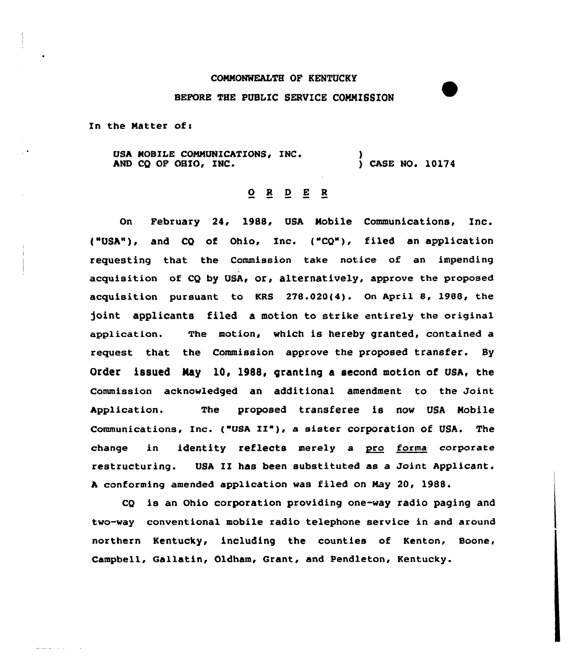## CONNONWEALTH OF KENTUCKY

## BEFORE THE PUBLIC SERVICE COMMISSION

In the Matter of:

USA MOBILE COMMUNICATIONS, INC. AND CQ OF OHIO, INC. )<br>) CASE NO. 10174

## $Q$  R  $Q$  E R

On February 24, 1988, QSA Nobile Communications, Inc. ("USA"), and CQ of Ohio, Inc. ("CQ"), filed an application requesting that the Commission take notice of an impending acquisition of CQ by QSA, or, alternatively, approve the proposed acquisition pursuant to KRS 278.020(4). On April 8, 1988, the joint applicants filed a motion to strike entirely the original application. The motion, which is hereby granted, contained a request that the Commission approve the proposed transfer. Sy Order issued May 10. 1988, granting a second motion of USA, the Commission acknowledged an additional amendment to the Joint Application. The proposed transferee is now USA Nobile Communications, Inc. ("USA II"), <sup>a</sup> sister corporation of USA. The change in identity reflects merely a pro forma corporate restructuring. USA II has been substituted as a Joint Applicant. <sup>A</sup> conforming amended app1ication was filed on Nay 20, 1988.

CQ is an Ohio corporation providing one-way radio paging and two-way conventional mobile radio telephone service in and around northern Kentucky, including the counties of Kenton, Boone, Campbell, Gallatin, Oldham, Grant, and Pendleton, Kentucky.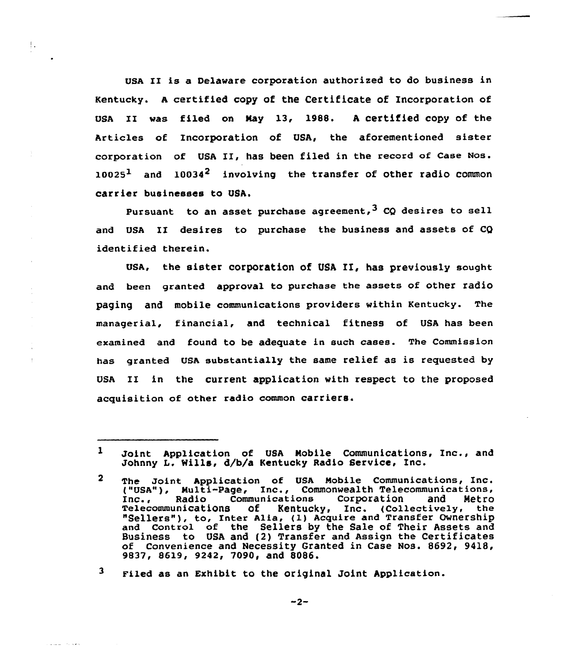UsA II is a Delaware corporation authorised to do business in Kentucky. <sup>A</sup> certified copy of the Certificate of Incorporation of USA II was filed on May 13, 1988. A certified copy of the Articles of Incorporation of USA, the aforementioned sister corporation of USA II, has been filed in the record of Case Nos.  $10025<sup>1</sup>$  and  $10034<sup>2</sup>$  involving the transfer of other radio common carrier businesses to USA,

 $\mathop{!}\cdot$ 

والأمارية المتواصلين

Pursuant to an asset purchase agreement,  $3$  CQ desires to sell and USA II desires to purchase the business and assets of CQ identified therein.

USA, the sister corporation of USA II, has previously sought and been granted approval to purchase the assets of other radio paging and mobile communications providers within Kentucky. The managerial, financial, and technical fitness of USA has been examined and found to be adequate in such cases. The Commission has granted USA substantially the same relief as is requested by USA II in the current application with respect to the proposed acquisition of other radio common carriers.

 $\mathbf{1}$ Joint Application of USA Mobile Communications, Inc., and Johnny L. Mills, d/b/a Kentucky Radio Service, Inc.

 $\mathbf{2}$ The Joint Application of USA Mobile Communications, Inc. ("USA"), Multi-Page, Inc., Commonwealth Telecommunications, Inc., Radio Communications Corporation and Metro Telecommunications of Kentucky, Inc. (Collectively, the<br>"Sellers"), to, Inter Alia, (1) Acquire and Transfer Ownership and Control of the Sellers by the Sale of Their Assets and Business to USA and (2} Transfer and Assign the Certificates of Convenience and Necessity Granted in Case Nos. 8692, 9418, 9837, 8619, 9242, 7090, and 8086.

<sup>3</sup> Filed as an Exhibit to the original Joint Application.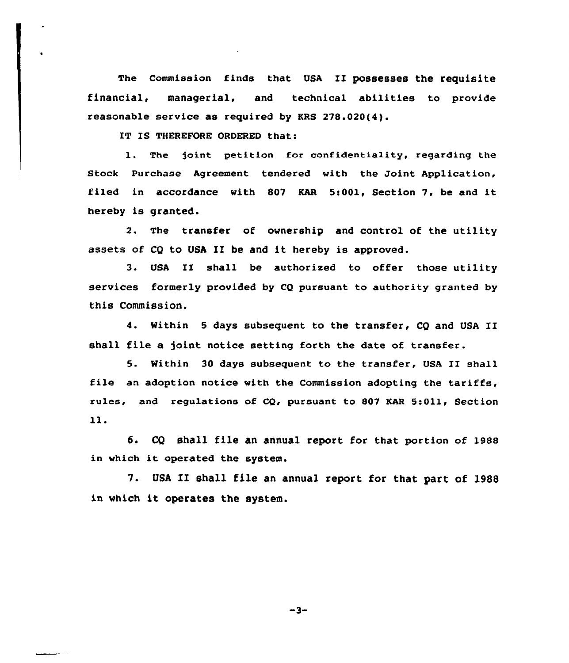The commission finds that UsA II possesses the requisite financial, managerial, and technical abilities to provide reasonable service as required by KRS 278.020(4).

IT IS THEREFORE ORDERED that:

1. The joint petition for confidentiality, regarding the Stock Purchase Agreement tendered with the Joint Application, filed in accordance with <sup>807</sup> KAR 5:001, Section 7, be and it hereby is granted.

2. The transfer of ownership and control of the utility assets of CQ to USA II be and it hereby is approved.

3. USA II shall be authorised to offer those utility services formerly provided by CQ pursuant to authority granted by this Commission.

4. Within <sup>5</sup> days subsequent to the transfer, CQ and USA XI shall file a joint notice setting forth the date of transfer.

5. Within <sup>30</sup> days subsequent to the transfer, USA II shall file an adoption notice with the Commission adopting the tariffs, rules, and regulations of CQ, pursuant to 807 KAR 5:Oll, Section 11.

6. CQ shall file an annual report for that portion of 1988 in which it operated the system.

7. USA II shall file an annual report for that part of 1988 in which it operates the system.

 $-3-$